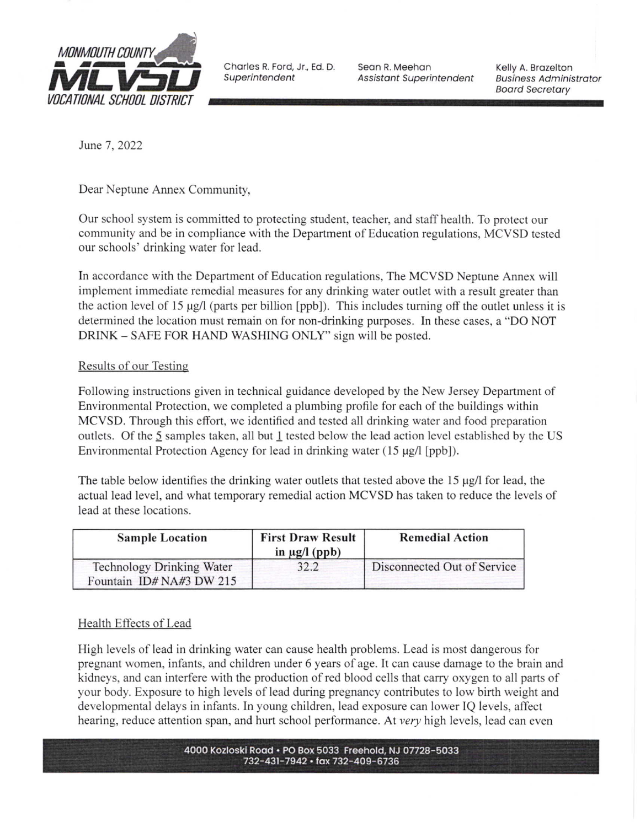

**Superintendent** 

Seon R. Meehon Assistant Superintendent

Kelly A. Brozelton Business Administrator<br>Board Secretary

June 7, 2022

Dear Neptune Annex Community,

Our school system is committed to protecting student, teacher, and staff health. To protect our community and be in compliance with the Department of Education regulations, MCVSD tested our schools' drinking water for lead.

In accordance with the Department of Education regulations, The MCVSD Neptune Annex will implement immediate remedial measures for any drinking water outlet with a result greater than the action level of 15 µg/l (parts per billion [ppb]). This includes turning off the outlet unless it is determined the location must remain on for non-drinking purposes. In these cases, a "DO NOT DRINK - SAFE FOR HAND WASHING ONLY" sign will be posted.

# Results of our Testing

Following instructions given in technical guidance developed by the New Jersey Department of Environmental Protection, we completed a plumbing profile for each of the buildings within MCVSD. Through this effort, we identified and tested all drinking water and food preparation outlets. Of the 5 samples taken, all but I tested below the lead action level established by the US Environmental Protection Agency for lead in drinking water  $(15 \mu g/l$  [ppb]).

The table below identifies the drinking water outlets that tested above the 15 µg/l for lead, the actual lead level, and what temporary remedial action MCVSD has taken to reduce the levels of lead at these locations.

| <b>Sample Location</b>                                      | <b>First Draw Result</b><br>in $\mu$ g/l (ppb) | <b>Remedial Action</b>      |
|-------------------------------------------------------------|------------------------------------------------|-----------------------------|
| <b>Technology Drinking Water</b><br>Fountain ID#NA#3 DW 215 | 32.2                                           | Disconnected Out of Service |

# Health Effects of Lead

High levels of lead in drinking water can cause health problems. Lead is most dangerous for pregnant women, infants, and children under 6 years of age. It can cause damage to the brain and kidneys, and can interfere with the production of red blood cells that carry oxygen to all parts of your body. Exposure to high levels of lead during pregnancy contributes to low birth weight and developmental delays in infants. In young children, lead exposure can lower IQ levels, affect hearing, reduce attention span, and hurt school performance. At very high levels, lead can even